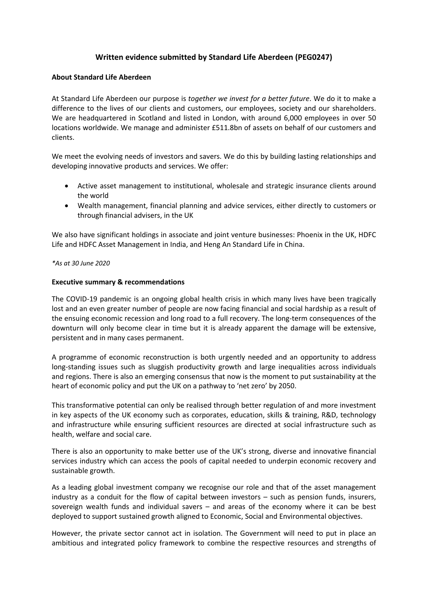# **Written evidence submitted by Standard Life Aberdeen (PEG0247)**

#### **About Standard Life Aberdeen**

At Standard Life Aberdeen our purpose is *together we invest for a better future*. We do it to make a difference to the lives of our clients and customers, our employees, society and our shareholders. We are headquartered in Scotland and listed in London, with around 6,000 employees in over 50 locations worldwide. We manage and administer £511.8bn of assets on behalf of our customers and clients.

We meet the evolving needs of investors and savers. We do this by building lasting relationships and developing innovative products and services. We offer:

- Active asset management to institutional, wholesale and strategic insurance clients around the world
- Wealth management, financial planning and advice services, either directly to customers or through financial advisers, in the UK

We also have significant holdings in associate and joint venture businesses: Phoenix in the UK, HDFC Life and HDFC Asset Management in India, and Heng An Standard Life in China.

#### *\*As at 30 June 2020*

#### **Executive summary & recommendations**

The COVID-19 pandemic is an ongoing global health crisis in which many lives have been tragically lost and an even greater number of people are now facing financial and social hardship as a result of the ensuing economic recession and long road to a full recovery. The long-term consequences of the downturn will only become clear in time but it is already apparent the damage will be extensive, persistent and in many cases permanent.

A programme of economic reconstruction is both urgently needed and an opportunity to address long-standing issues such as sluggish productivity growth and large inequalities across individuals and regions. There is also an emerging consensus that now is the moment to put sustainability at the heart of economic policy and put the UK on a pathway to 'net zero' by 2050.

This transformative potential can only be realised through better regulation of and more investment in key aspects of the UK economy such as corporates, education, skills & training, R&D, technology and infrastructure while ensuring sufficient resources are directed at social infrastructure such as health, welfare and social care.

There is also an opportunity to make better use of the UK's strong, diverse and innovative financial services industry which can access the pools of capital needed to underpin economic recovery and sustainable growth.

As a leading global investment company we recognise our role and that of the asset management industry as a conduit for the flow of capital between investors – such as pension funds, insurers, sovereign wealth funds and individual savers – and areas of the economy where it can be best deployed to support sustained growth aligned to Economic, Social and Environmental objectives.

However, the private sector cannot act in isolation. The Government will need to put in place an ambitious and integrated policy framework to combine the respective resources and strengths of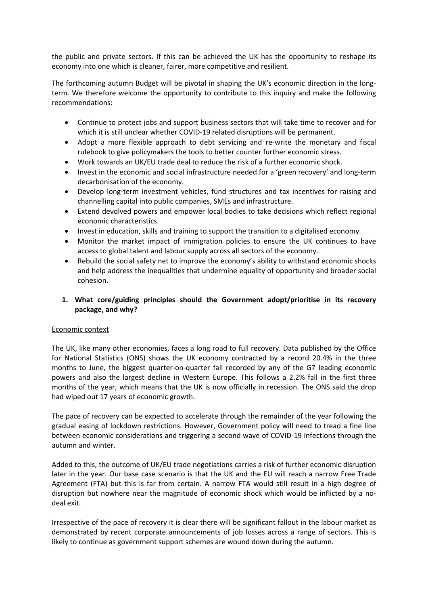the public and private sectors. If this can be achieved the UK has the opportunity to reshape its economy into one which is cleaner, fairer, more competitive and resilient.

The forthcoming autumn Budget will be pivotal in shaping the UK's economic direction in the longterm. We therefore welcome the opportunity to contribute to this inquiry and make the following recommendations:

- Continue to protect jobs and support business sectors that will take time to recover and for which it is still unclear whether COVID-19 related disruptions will be permanent.
- Adopt a more flexible approach to debt servicing and re-write the monetary and fiscal rulebook to give policymakers the tools to better counter further economic stress.
- Work towards an UK/EU trade deal to reduce the risk of a further economic shock.
- Invest in the economic and social infrastructure needed for a 'green recovery' and long-term decarbonisation of the economy.
- Develop long-term investment vehicles, fund structures and tax incentives for raising and channelling capital into public companies, SMEs and infrastructure.
- Extend devolved powers and empower local bodies to take decisions which reflect regional economic characteristics.
- Invest in education, skills and training to support the transition to a digitalised economy.
- Monitor the market impact of immigration policies to ensure the UK continues to have access to global talent and labour supply across all sectors of the economy.
- Rebuild the social safety net to improve the economy's ability to withstand economic shocks and help address the inequalities that undermine equality of opportunity and broader social cohesion.

## **1. What core/guiding principles should the Government adopt/prioritise in its recovery package, and why?**

#### Economic context

The UK, like many other economies, faces a long road to full recovery. Data published by the Office for National Statistics (ONS) shows the UK economy contracted by a record 20.4% in the three months to June, the biggest quarter-on-quarter fall recorded by any of the G7 leading economic powers and also the largest decline in Western Europe. This follows a 2.2% fall in the first three months of the year, which means that the UK is now officially in recession. The ONS said the drop had wiped out 17 years of economic growth.

The pace of recovery can be expected to accelerate through the remainder of the year following the gradual easing of lockdown restrictions. However, Government policy will need to tread a fine line between economic considerations and triggering a second wave of COVID-19 infections through the autumn and winter.

Added to this, the outcome of UK/EU trade negotiations carries a risk of further economic disruption later in the year. Our base case scenario is that the UK and the EU will reach a narrow Free Trade Agreement (FTA) but this is far from certain. A narrow FTA would still result in a high degree of disruption but nowhere near the magnitude of economic shock which would be inflicted by a nodeal exit.

Irrespective of the pace of recovery it is clear there will be significant fallout in the labour market as demonstrated by recent corporate announcements of job losses across a range of sectors. This is likely to continue as government support schemes are wound down during the autumn.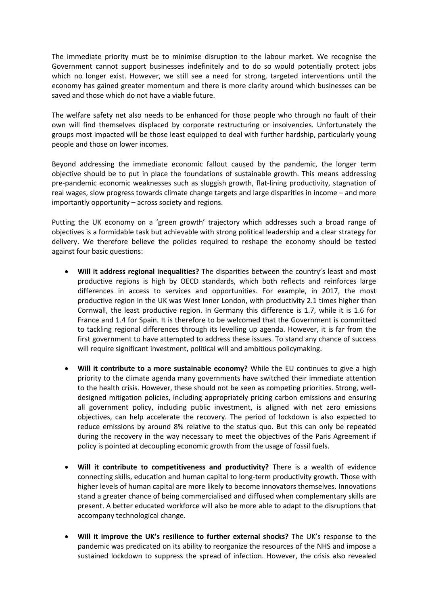The immediate priority must be to minimise disruption to the labour market. We recognise the Government cannot support businesses indefinitely and to do so would potentially protect jobs which no longer exist. However, we still see a need for strong, targeted interventions until the economy has gained greater momentum and there is more clarity around which businesses can be saved and those which do not have a viable future.

The welfare safety net also needs to be enhanced for those people who through no fault of their own will find themselves displaced by corporate restructuring or insolvencies. Unfortunately the groups most impacted will be those least equipped to deal with further hardship, particularly young people and those on lower incomes.

Beyond addressing the immediate economic fallout caused by the pandemic, the longer term objective should be to put in place the foundations of sustainable growth. This means addressing pre-pandemic economic weaknesses such as sluggish growth, flat-lining productivity, stagnation of real wages, slow progress towards climate change targets and large disparities in income – and more importantly opportunity – across society and regions.

Putting the UK economy on a 'green growth' trajectory which addresses such a broad range of objectives is a formidable task but achievable with strong political leadership and a clear strategy for delivery. We therefore believe the policies required to reshape the economy should be tested against four basic questions:

- **Will it address regional inequalities?** The disparities between the country's least and most productive regions is high by OECD standards, which both reflects and reinforces large differences in access to services and opportunities. For example, in 2017, the most productive region in the UK was West Inner London, with productivity 2.1 times higher than Cornwall, the least productive region. In Germany this difference is 1.7, while it is 1.6 for France and 1.4 for Spain. It is therefore to be welcomed that the Government is committed to tackling regional differences through its levelling up agenda. However, it is far from the first government to have attempted to address these issues. To stand any chance of success will require significant investment, political will and ambitious policymaking.
- **Will it contribute to a more sustainable economy?** While the EU continues to give a high priority to the climate agenda many governments have switched their immediate attention to the health crisis. However, these should not be seen as competing priorities. Strong, welldesigned mitigation policies, including appropriately pricing carbon emissions and ensuring all government policy, including public investment, is aligned with net zero emissions objectives, can help accelerate the recovery. The period of lockdown is also expected to reduce emissions by around 8% relative to the status quo. But this can only be repeated during the recovery in the way necessary to meet the objectives of the Paris Agreement if policy is pointed at decoupling economic growth from the usage of fossil fuels.
- **Will it contribute to competitiveness and productivity?** There is a wealth of evidence connecting skills, education and human capital to long-term productivity growth. Those with higher levels of human capital are more likely to become innovators themselves. Innovations stand a greater chance of being commercialised and diffused when complementary skills are present. A better educated workforce will also be more able to adapt to the disruptions that accompany technological change.
- **Will it improve the UK's resilience to further external shocks?** The UK's response to the pandemic was predicated on its ability to reorganize the resources of the NHS and impose a sustained lockdown to suppress the spread of infection. However, the crisis also revealed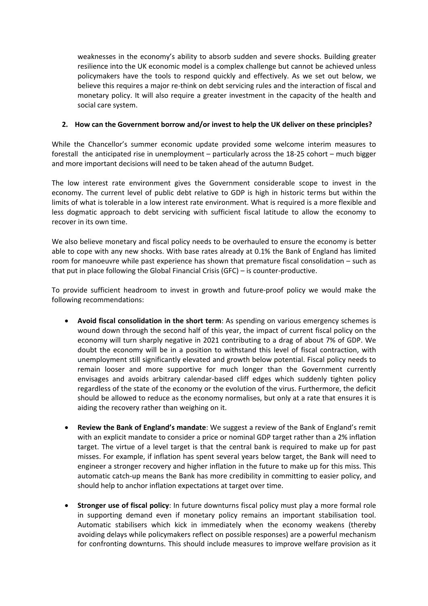weaknesses in the economy's ability to absorb sudden and severe shocks. Building greater resilience into the UK economic model is a complex challenge but cannot be achieved unless policymakers have the tools to respond quickly and effectively. As we set out below, we believe this requires a major re-think on debt servicing rules and the interaction of fiscal and monetary policy. It will also require a greater investment in the capacity of the health and social care system.

## **2. How can the Government borrow and/or invest to help the UK deliver on these principles?**

While the Chancellor's summer economic update provided some welcome interim measures to forestall the anticipated rise in unemployment – particularly across the 18-25 cohort – much bigger and more important decisions will need to be taken ahead of the autumn Budget.

The low interest rate environment gives the Government considerable scope to invest in the economy. The current level of public debt relative to GDP is high in historic terms but within the limits of what is tolerable in a low interest rate environment. What is required is a more flexible and less dogmatic approach to debt servicing with sufficient fiscal latitude to allow the economy to recover in its own time.

We also believe monetary and fiscal policy needs to be overhauled to ensure the economy is better able to cope with any new shocks. With base rates already at 0.1% the Bank of England has limited room for manoeuvre while past experience has shown that premature fiscal consolidation – such as that put in place following the Global Financial Crisis (GFC) – is counter-productive.

To provide sufficient headroom to invest in growth and future-proof policy we would make the following recommendations:

- **Avoid fiscal consolidation in the short term**: As spending on various emergency schemes is wound down through the second half of this year, the impact of current fiscal policy on the economy will turn sharply negative in 2021 contributing to a drag of about 7% of GDP. We doubt the economy will be in a position to withstand this level of fiscal contraction, with unemployment still significantly elevated and growth below potential. Fiscal policy needs to remain looser and more supportive for much longer than the Government currently envisages and avoids arbitrary calendar-based cliff edges which suddenly tighten policy regardless of the state of the economy or the evolution of the virus. Furthermore, the deficit should be allowed to reduce as the economy normalises, but only at a rate that ensures it is aiding the recovery rather than weighing on it.
- **Review the Bank of England's mandate**: We suggest a review of the Bank of England's remit with an explicit mandate to consider a price or nominal GDP target rather than a 2% inflation target. The virtue of a level target is that the central bank is required to make up for past misses. For example, if inflation has spent several years below target, the Bank will need to engineer a stronger recovery and higher inflation in the future to make up for this miss. This automatic catch-up means the Bank has more credibility in committing to easier policy, and should help to anchor inflation expectations at target over time.
- **Stronger use of fiscal policy**: In future downturns fiscal policy must play a more formal role in supporting demand even if monetary policy remains an important stabilisation tool. Automatic stabilisers which kick in immediately when the economy weakens (thereby avoiding delays while policymakers reflect on possible responses) are a powerful mechanism for confronting downturns. This should include measures to improve welfare provision as it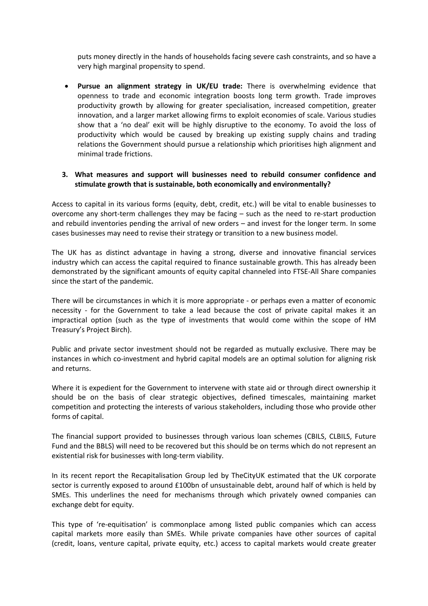puts money directly in the hands of households facing severe cash constraints, and so have a very high marginal propensity to spend.

 **Pursue an alignment strategy in UK/EU trade:** There is overwhelming evidence that openness to trade and economic integration boosts long term growth. Trade improves productivity growth by allowing for greater specialisation, increased competition, greater innovation, and a larger market allowing firms to exploit economies of scale. Various studies show that a 'no deal' exit will be highly disruptive to the economy. To avoid the loss of productivity which would be caused by breaking up existing supply chains and trading relations the Government should pursue a relationship which prioritises high alignment and minimal trade frictions.

#### **3. What measures and support will businesses need to rebuild consumer confidence and stimulate growth that is sustainable, both economically and environmentally?**

Access to capital in its various forms (equity, debt, credit, etc.) will be vital to enable businesses to overcome any short-term challenges they may be facing – such as the need to re-start production and rebuild inventories pending the arrival of new orders – and invest for the longer term. In some cases businesses may need to revise their strategy or transition to a new business model.

The UK has as distinct advantage in having a strong, diverse and innovative financial services industry which can access the capital required to finance sustainable growth. This has already been demonstrated by the significant amounts of equity capital channeled into FTSE-All Share companies since the start of the pandemic.

There will be circumstances in which it is more appropriate - or perhaps even a matter of economic necessity - for the Government to take a lead because the cost of private capital makes it an impractical option (such as the type of investments that would come within the scope of HM Treasury's Project Birch).

Public and private sector investment should not be regarded as mutually exclusive. There may be instances in which co-investment and hybrid capital models are an optimal solution for aligning risk and returns.

Where it is expedient for the Government to intervene with state aid or through direct ownership it should be on the basis of clear strategic objectives, defined timescales, maintaining market competition and protecting the interests of various stakeholders, including those who provide other forms of capital.

The financial support provided to businesses through various loan schemes (CBILS, CLBILS, Future Fund and the BBLS) will need to be recovered but this should be on terms which do not represent an existential risk for businesses with long-term viability.

In its recent report the Recapitalisation Group led by TheCityUK estimated that the UK corporate sector is currently exposed to around £100bn of unsustainable debt, around half of which is held by SMEs. This underlines the need for mechanisms through which privately owned companies can exchange debt for equity.

This type of 're-equitisation' is commonplace among listed public companies which can access capital markets more easily than SMEs. While private companies have other sources of capital (credit, loans, venture capital, private equity, etc.) access to capital markets would create greater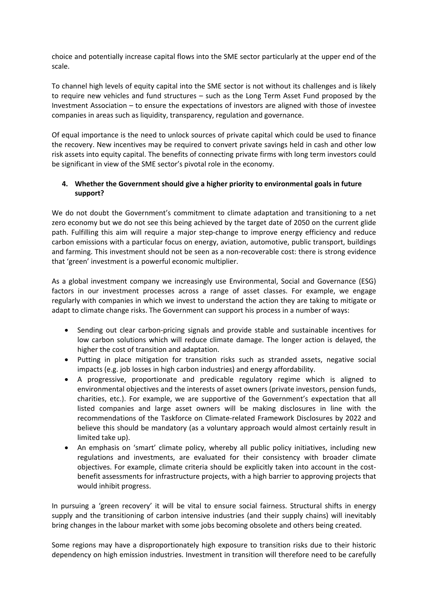choice and potentially increase capital flows into the SME sector particularly at the upper end of the scale.

To channel high levels of equity capital into the SME sector is not without its challenges and is likely to require new vehicles and fund structures – such as the Long Term Asset Fund proposed by the Investment Association – to ensure the expectations of investors are aligned with those of investee companies in areas such as liquidity, transparency, regulation and governance.

Of equal importance is the need to unlock sources of private capital which could be used to finance the recovery. New incentives may be required to convert private savings held in cash and other low risk assets into equity capital. The benefits of connecting private firms with long term investors could be significant in view of the SME sector's pivotal role in the economy.

## **4. Whether the Government should give a higher priority to environmental goals in future support?**

We do not doubt the Government's commitment to climate adaptation and transitioning to a net zero economy but we do not see this being achieved by the target date of 2050 on the current glide path. Fulfilling this aim will require a major step-change to improve energy efficiency and reduce carbon emissions with a particular focus on energy, aviation, automotive, public transport, buildings and farming. This investment should not be seen as a non-recoverable cost: there is strong evidence that 'green' investment is a powerful economic multiplier.

As a global investment company we increasingly use Environmental, Social and Governance (ESG) factors in our investment processes across a range of asset classes. For example, we engage regularly with companies in which we invest to understand the action they are taking to mitigate or adapt to climate change risks. The Government can support his process in a number of ways:

- Sending out clear carbon-pricing signals and provide stable and sustainable incentives for low carbon solutions which will reduce climate damage. The longer action is delayed, the higher the cost of transition and adaptation.
- Putting in place mitigation for transition risks such as stranded assets, negative social impacts (e.g. job losses in high carbon industries) and energy affordability.
- A progressive, proportionate and predicable regulatory regime which is aligned to environmental objectives and the interests of asset owners (private investors, pension funds, charities, etc.). For example, we are supportive of the Government's expectation that all listed companies and large asset owners will be making disclosures in line with the recommendations of the Taskforce on Climate-related Framework Disclosures by 2022 and believe this should be mandatory (as a voluntary approach would almost certainly result in limited take up).
- An emphasis on 'smart' climate policy, whereby all public policy initiatives, including new regulations and investments, are evaluated for their consistency with broader climate objectives. For example, climate criteria should be explicitly taken into account in the costbenefit assessments for infrastructure projects, with a high barrier to approving projects that would inhibit progress.

In pursuing a 'green recovery' it will be vital to ensure social fairness. Structural shifts in energy supply and the transitioning of carbon intensive industries (and their supply chains) will inevitably bring changes in the labour market with some jobs becoming obsolete and others being created.

Some regions may have a disproportionately high exposure to transition risks due to their historic dependency on high emission industries. Investment in transition will therefore need to be carefully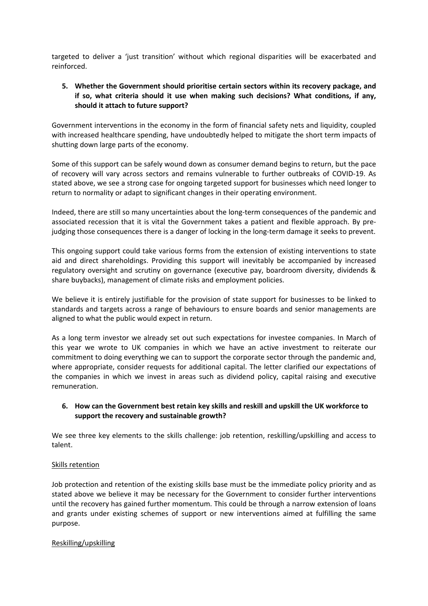targeted to deliver a 'just transition' without which regional disparities will be exacerbated and reinforced.

### **5. Whether the Government should prioritise certain sectors within its recovery package, and if so, what criteria should it use when making such decisions? What conditions, if any, should it attach to future support?**

Government interventions in the economy in the form of financial safety nets and liquidity, coupled with increased healthcare spending, have undoubtedly helped to mitigate the short term impacts of shutting down large parts of the economy.

Some of this support can be safely wound down as consumer demand begins to return, but the pace of recovery will vary across sectors and remains vulnerable to further outbreaks of COVID-19. As stated above, we see a strong case for ongoing targeted support for businesses which need longer to return to normality or adapt to significant changes in their operating environment.

Indeed, there are still so many uncertainties about the long-term consequences of the pandemic and associated recession that it is vital the Government takes a patient and flexible approach. By prejudging those consequences there is a danger of locking in the long-term damage it seeks to prevent.

This ongoing support could take various forms from the extension of existing interventions to state aid and direct shareholdings. Providing this support will inevitably be accompanied by increased regulatory oversight and scrutiny on governance (executive pay, boardroom diversity, dividends & share buybacks), management of climate risks and employment policies.

We believe it is entirely justifiable for the provision of state support for businesses to be linked to standards and targets across a range of behaviours to ensure boards and senior managements are aligned to what the public would expect in return.

As a long term investor we already set out such expectations for investee companies. In March of this year we wrote to UK companies in which we have an active investment to reiterate our commitment to doing everything we can to support the corporate sector through the pandemic and, where appropriate, consider requests for additional capital. The letter clarified our expectations of the companies in which we invest in areas such as dividend policy, capital raising and executive remuneration.

## **6. How can the Government best retain key skills and reskill and upskill the UK workforce to support the recovery and sustainable growth?**

We see three key elements to the skills challenge: job retention, reskilling/upskilling and access to talent.

#### Skills retention

Job protection and retention of the existing skills base must be the immediate policy priority and as stated above we believe it may be necessary for the Government to consider further interventions until the recovery has gained further momentum. This could be through a narrow extension of loans and grants under existing schemes of support or new interventions aimed at fulfilling the same purpose.

#### Reskilling/upskilling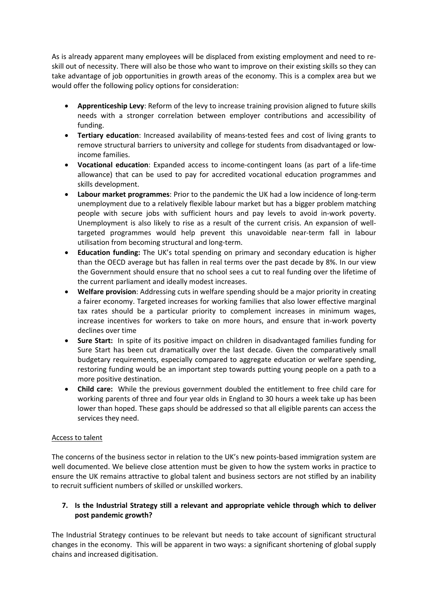As is already apparent many employees will be displaced from existing employment and need to reskill out of necessity. There will also be those who want to improve on their existing skills so they can take advantage of job opportunities in growth areas of the economy. This is a complex area but we would offer the following policy options for consideration:

- **Apprenticeship Levy**: Reform of the levy to increase training provision aligned to future skills needs with a stronger correlation between employer contributions and accessibility of funding.
- **Tertiary education**: Increased availability of means-tested fees and cost of living grants to remove structural barriers to university and college for students from disadvantaged or lowincome families.
- **Vocational education**: Expanded access to income-contingent loans (as part of a life-time allowance) that can be used to pay for accredited vocational education programmes and skills development.
- **Labour market programmes**: Prior to the pandemic the UK had a low incidence of long-term unemployment due to a relatively flexible labour market but has a bigger problem matching people with secure jobs with sufficient hours and pay levels to avoid in-work poverty. Unemployment is also likely to rise as a result of the current crisis. An expansion of welltargeted programmes would help prevent this unavoidable near-term fall in labour utilisation from becoming structural and long-term.
- **Education funding:** The UK's total spending on primary and secondary education is higher than the OECD average but has fallen in real terms over the past decade by 8%. In our view the Government should ensure that no school sees a cut to real funding over the lifetime of the current parliament and ideally modest increases.
- **Welfare provision**: Addressing cuts in welfare spending should be a major priority in creating a fairer economy. Targeted increases for working families that also lower effective marginal tax rates should be a particular priority to complement increases in minimum wages, increase incentives for workers to take on more hours, and ensure that in-work poverty declines over time
- **Sure Start:** In spite of its positive impact on children in disadvantaged families funding for Sure Start has been cut dramatically over the last decade. Given the comparatively small budgetary requirements, especially compared to aggregate education or welfare spending, restoring funding would be an important step towards putting young people on a path to a more positive destination.
- **Child care:** While the previous government doubled the entitlement to free child care for working parents of three and four year olds in England to 30 hours a week take up has been lower than hoped. These gaps should be addressed so that all eligible parents can access the services they need.

## Access to talent

The concerns of the business sector in relation to the UK's new points-based immigration system are well documented. We believe close attention must be given to how the system works in practice to ensure the UK remains attractive to global talent and business sectors are not stifled by an inability to recruit sufficient numbers of skilled or unskilled workers.

## **7. Is the Industrial Strategy still a relevant and appropriate vehicle through which to deliver post pandemic growth?**

The Industrial Strategy continues to be relevant but needs to take account of significant structural changes in the economy. This will be apparent in two ways: a significant shortening of global supply chains and increased digitisation.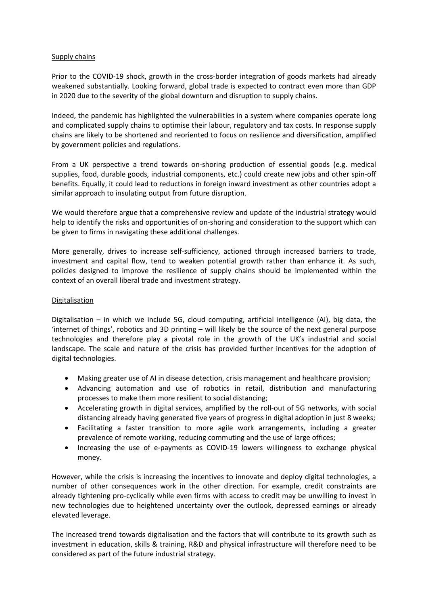#### Supply chains

Prior to the COVID-19 shock, growth in the cross-border integration of goods markets had already weakened substantially. Looking forward, global trade is expected to contract even more than GDP in 2020 due to the severity of the global downturn and disruption to supply chains.

Indeed, the pandemic has highlighted the vulnerabilities in a system where companies operate long and complicated supply chains to optimise their labour, regulatory and tax costs. In response supply chains are likely to be shortened and reoriented to focus on resilience and diversification, amplified by government policies and regulations.

From a UK perspective a trend towards on-shoring production of essential goods (e.g. medical supplies, food, durable goods, industrial components, etc.) could create new jobs and other spin-off benefits. Equally, it could lead to reductions in foreign inward investment as other countries adopt a similar approach to insulating output from future disruption.

We would therefore argue that a comprehensive review and update of the industrial strategy would help to identify the risks and opportunities of on-shoring and consideration to the support which can be given to firms in navigating these additional challenges.

More generally, drives to increase self-sufficiency, actioned through increased barriers to trade, investment and capital flow, tend to weaken potential growth rather than enhance it. As such, policies designed to improve the resilience of supply chains should be implemented within the context of an overall liberal trade and investment strategy.

### Digitalisation

Digitalisation – in which we include 5G, cloud computing, artificial intelligence (AI), big data, the 'internet of things', robotics and 3D printing – will likely be the source of the next general purpose technologies and therefore play a pivotal role in the growth of the UK's industrial and social landscape. The scale and nature of the crisis has provided further incentives for the adoption of digital technologies.

- Making greater use of AI in disease detection, crisis management and healthcare provision;
- Advancing automation and use of robotics in retail, distribution and manufacturing processes to make them more resilient to social distancing;
- Accelerating growth in digital services, amplified by the roll-out of 5G networks, with social distancing already having generated five years of progress in digital adoption in just 8 weeks;
- Facilitating a faster transition to more agile work arrangements, including a greater prevalence of remote working, reducing commuting and the use of large offices;
- Increasing the use of e-payments as COVID-19 lowers willingness to exchange physical money.

However, while the crisis is increasing the incentives to innovate and deploy digital technologies, a number of other consequences work in the other direction. For example, credit constraints are already tightening pro-cyclically while even firms with access to credit may be unwilling to invest in new technologies due to heightened uncertainty over the outlook, depressed earnings or already elevated leverage.

The increased trend towards digitalisation and the factors that will contribute to its growth such as investment in education, skills & training, R&D and physical infrastructure will therefore need to be considered as part of the future industrial strategy.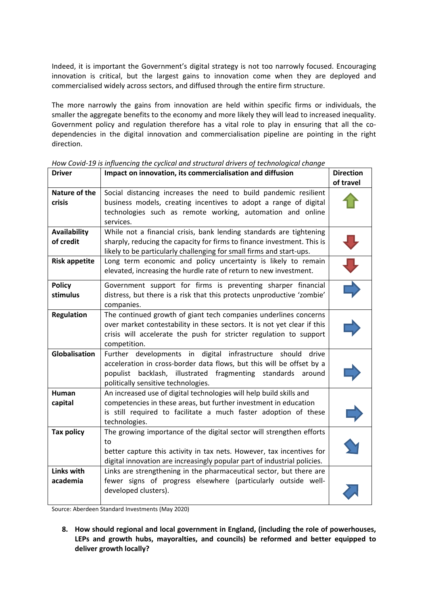Indeed, it is important the Government's digital strategy is not too narrowly focused. Encouraging innovation is critical, but the largest gains to innovation come when they are deployed and commercialised widely across sectors, and diffused through the entire firm structure.

The more narrowly the gains from innovation are held within specific firms or individuals, the smaller the aggregate benefits to the economy and more likely they will lead to increased inequality. Government policy and regulation therefore has a vital role to play in ensuring that all the codependencies in the digital innovation and commercialisation pipeline are pointing in the right direction.

| <b>Driver</b>        | Impact on innovation, its commercialisation and diffusion                                                                          | <b>Direction</b> |
|----------------------|------------------------------------------------------------------------------------------------------------------------------------|------------------|
|                      |                                                                                                                                    | of travel        |
| Nature of the        | Social distancing increases the need to build pandemic resilient                                                                   |                  |
| <b>crisis</b>        | business models, creating incentives to adopt a range of digital                                                                   |                  |
|                      | technologies such as remote working, automation and online                                                                         |                  |
|                      | services.                                                                                                                          |                  |
| <b>Availability</b>  | While not a financial crisis, bank lending standards are tightening                                                                |                  |
| of credit            | sharply, reducing the capacity for firms to finance investment. This is                                                            |                  |
|                      | likely to be particularly challenging for small firms and start-ups.                                                               |                  |
| <b>Risk appetite</b> | Long term economic and policy uncertainty is likely to remain<br>elevated, increasing the hurdle rate of return to new investment. | クラウ              |
| <b>Policy</b>        | Government support for firms is preventing sharper financial                                                                       |                  |
| stimulus             | distress, but there is a risk that this protects unproductive 'zombie'                                                             |                  |
|                      | companies.                                                                                                                         |                  |
| <b>Regulation</b>    | The continued growth of giant tech companies underlines concerns                                                                   |                  |
|                      | over market contestability in these sectors. It is not yet clear if this                                                           |                  |
|                      | crisis will accelerate the push for stricter regulation to support                                                                 |                  |
|                      | competition.                                                                                                                       |                  |
| Globalisation        | Further developments in digital infrastructure should<br>drive                                                                     |                  |
|                      | acceleration in cross-border data flows, but this will be offset by a                                                              |                  |
|                      | populist backlash, illustrated<br>fragmenting standards<br>around                                                                  |                  |
|                      | politically sensitive technologies.                                                                                                |                  |
| Human                | An increased use of digital technologies will help build skills and                                                                |                  |
| capital              | competencies in these areas, but further investment in education                                                                   |                  |
|                      | is still required to facilitate a much faster adoption of these                                                                    |                  |
|                      | technologies.                                                                                                                      |                  |
| <b>Tax policy</b>    | The growing importance of the digital sector will strengthen efforts                                                               |                  |
|                      | to                                                                                                                                 |                  |
|                      | better capture this activity in tax nets. However, tax incentives for                                                              |                  |
|                      | digital innovation are increasingly popular part of industrial policies.                                                           |                  |
| Links with           | Links are strengthening in the pharmaceutical sector, but there are                                                                |                  |
| academia             | fewer signs of progress elsewhere (particularly outside well-<br>developed clusters).                                              |                  |
|                      |                                                                                                                                    |                  |

*How Covid-19 is influencing the cyclical and structural drivers of technological change*

Source: Aberdeen Standard Investments (May 2020)

**8. How should regional and local government in England, (including the role of powerhouses, LEPs and growth hubs, mayoralties, and councils) be reformed and better equipped to deliver growth locally?**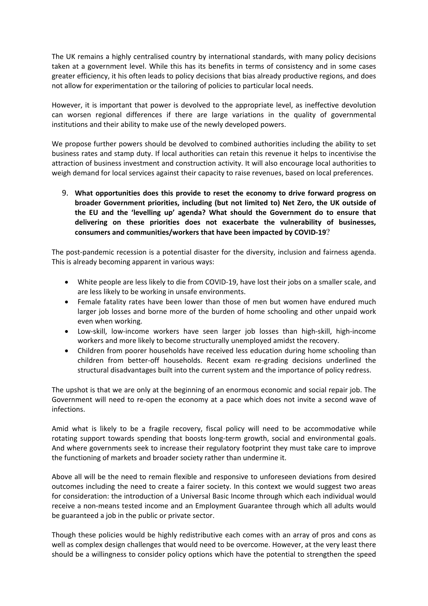The UK remains a highly centralised country by international standards, with many policy decisions taken at a government level. While this has its benefits in terms of consistency and in some cases greater efficiency, it his often leads to policy decisions that bias already productive regions, and does not allow for experimentation or the tailoring of policies to particular local needs.

However, it is important that power is devolved to the appropriate level, as ineffective devolution can worsen regional differences if there are large variations in the quality of governmental institutions and their ability to make use of the newly developed powers.

We propose further powers should be devolved to combined authorities including the ability to set business rates and stamp duty. If local authorities can retain this revenue it helps to incentivise the attraction of business investment and construction activity. It will also encourage local authorities to weigh demand for local services against their capacity to raise revenues, based on local preferences.

9. **What opportunities does this provide to reset the economy to drive forward progress on broader Government priorities, including (but not limited to) Net Zero, the UK outside of the EU and the 'levelling up' agenda? What should the Government do to ensure that delivering on these priorities does not exacerbate the vulnerability of businesses, consumers and communities/workers that have been impacted by COVID-19**?

The post-pandemic recession is a potential disaster for the diversity, inclusion and fairness agenda. This is already becoming apparent in various ways:

- White people are less likely to die from COVID-19, have lost their jobs on a smaller scale, and are less likely to be working in unsafe environments.
- Female fatality rates have been lower than those of men but women have endured much larger job losses and borne more of the burden of home schooling and other unpaid work even when working.
- Low-skill, low-income workers have seen larger job losses than high-skill, high-income workers and more likely to become structurally unemployed amidst the recovery.
- Children from poorer households have received less education during home schooling than children from better-off households. Recent exam re-grading decisions underlined the structural disadvantages built into the current system and the importance of policy redress.

The upshot is that we are only at the beginning of an enormous economic and social repair job. The Government will need to re-open the economy at a pace which does not invite a second wave of infections.

Amid what is likely to be a fragile recovery, fiscal policy will need to be accommodative while rotating support towards spending that boosts long-term growth, social and environmental goals. And where governments seek to increase their regulatory footprint they must take care to improve the functioning of markets and broader society rather than undermine it.

Above all will be the need to remain flexible and responsive to unforeseen deviations from desired outcomes including the need to create a fairer society. In this context we would suggest two areas for consideration: the introduction of a Universal Basic Income through which each individual would receive a non-means tested income and an Employment Guarantee through which all adults would be guaranteed a job in the public or private sector.

Though these policies would be highly redistributive each comes with an array of pros and cons as well as complex design challenges that would need to be overcome. However, at the very least there should be a willingness to consider policy options which have the potential to strengthen the speed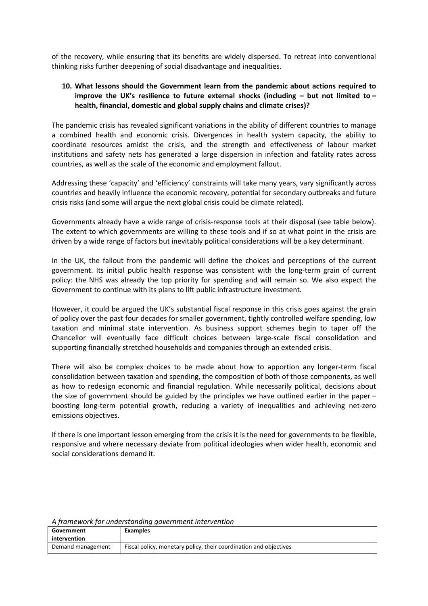of the recovery, while ensuring that its benefits are widely dispersed. To retreat into conventional thinking risks further deepening of social disadvantage and inequalities.

### **10. What lessons should the Government learn from the pandemic about actions required to improve the UK's resilience to future external shocks (including – but not limited to – health, financial, domestic and global supply chains and climate crises)?**

The pandemic crisis has revealed significant variations in the ability of different countries to manage a combined health and economic crisis. Divergences in health system capacity, the ability to coordinate resources amidst the crisis, and the strength and effectiveness of labour market institutions and safety nets has generated a large dispersion in infection and fatality rates across countries, as well as the scale of the economic and employment fallout.

Addressing these 'capacity' and 'efficiency' constraints will take many years, vary significantly across countries and heavily influence the economic recovery, potential for secondary outbreaks and future crisis risks (and some will argue the next global crisis could be climate related).

Governments already have a wide range of crisis-response tools at their disposal (see table below). The extent to which governments are willing to these tools and if so at what point in the crisis are driven by a wide range of factors but inevitably political considerations will be a key determinant.

In the UK, the fallout from the pandemic will define the choices and perceptions of the current government. Its initial public health response was consistent with the long-term grain of current policy: the NHS was already the top priority for spending and will remain so. We also expect the Government to continue with its plans to lift public infrastructure investment.

However, it could be argued the UK's substantial fiscal response in this crisis goes against the grain of policy over the past four decades for smaller government, tightly controlled welfare spending, low taxation and minimal state intervention. As business support schemes begin to taper off the Chancellor will eventually face difficult choices between large-scale fiscal consolidation and supporting financially stretched households and companies through an extended crisis.

There will also be complex choices to be made about how to apportion any longer-term fiscal consolidation between taxation and spending, the composition of both of those components, as well as how to redesign economic and financial regulation. While necessarily political, decisions about the size of government should be guided by the principles we have outlined earlier in the paper – boosting long-term potential growth, reducing a variety of inequalities and achieving net-zero emissions objectives.

If there is one important lesson emerging from the crisis it is the need for governments to be flexible, responsive and where necessary deviate from political ideologies when wider health, economic and social considerations demand it.

| <i>Repairment for anacrotationly government microcrition</i> |                                                                   |  |  |
|--------------------------------------------------------------|-------------------------------------------------------------------|--|--|
| Government                                                   | <b>Examples</b>                                                   |  |  |
| intervention                                                 |                                                                   |  |  |
| Demand management                                            | Fiscal policy, monetary policy, their coordination and objectives |  |  |

*A framework for understanding government intervention*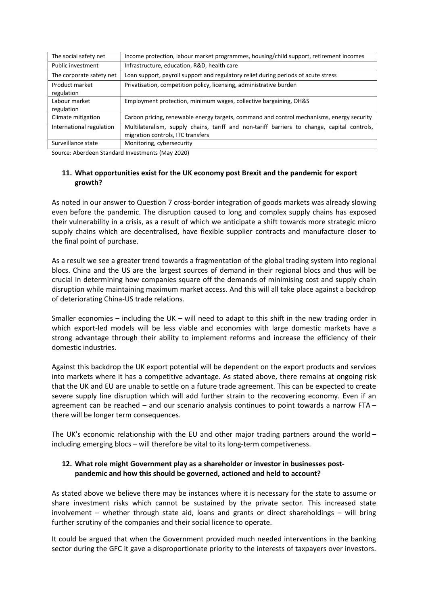| The social safety net        | Income protection, labour market programmes, housing/child support, retirement incomes                                           |
|------------------------------|----------------------------------------------------------------------------------------------------------------------------------|
| Public investment            | Infrastructure, education, R&D, health care                                                                                      |
| The corporate safety net     | Loan support, payroll support and regulatory relief during periods of acute stress                                               |
| Product market<br>regulation | Privatisation, competition policy, licensing, administrative burden                                                              |
| Labour market<br>regulation  | Employment protection, minimum wages, collective bargaining, OH&S                                                                |
| Climate mitigation           | Carbon pricing, renewable energy targets, command and control mechanisms, energy security                                        |
| International regulation     | Multilateralism, supply chains, tariff and non-tariff barriers to change, capital controls,<br>migration controls, ITC transfers |
| Surveillance state           | Monitoring, cybersecurity                                                                                                        |

Source: Aberdeen Standard Investments (May 2020)

## **11. What opportunities exist for the UK economy post Brexit and the pandemic for export growth?**

As noted in our answer to Question 7 cross-border integration of goods markets was already slowing even before the pandemic. The disruption caused to long and complex supply chains has exposed their vulnerability in a crisis, as a result of which we anticipate a shift towards more strategic micro supply chains which are decentralised, have flexible supplier contracts and manufacture closer to the final point of purchase.

As a result we see a greater trend towards a fragmentation of the global trading system into regional blocs. China and the US are the largest sources of demand in their regional blocs and thus will be crucial in determining how companies square off the demands of minimising cost and supply chain disruption while maintaining maximum market access. And this will all take place against a backdrop of deteriorating China-US trade relations.

Smaller economies – including the UK – will need to adapt to this shift in the new trading order in which export-led models will be less viable and economies with large domestic markets have a strong advantage through their ability to implement reforms and increase the efficiency of their domestic industries.

Against this backdrop the UK export potential will be dependent on the export products and services into markets where it has a competitive advantage. As stated above, there remains at ongoing risk that the UK and EU are unable to settle on a future trade agreement. This can be expected to create severe supply line disruption which will add further strain to the recovering economy. Even if an agreement can be reached – and our scenario analysis continues to point towards a narrow FTA – there will be longer term consequences.

The UK's economic relationship with the EU and other major trading partners around the world  $$ including emerging blocs – will therefore be vital to its long-term competiveness.

## **12. What role might Government play as a shareholder or investor in businesses postpandemic and how this should be governed, actioned and held to account?**

As stated above we believe there may be instances where it is necessary for the state to assume or share investment risks which cannot be sustained by the private sector. This increased state involvement – whether through state aid, loans and grants or direct shareholdings – will bring further scrutiny of the companies and their social licence to operate.

It could be argued that when the Government provided much needed interventions in the banking sector during the GFC it gave a disproportionate priority to the interests of taxpayers over investors.